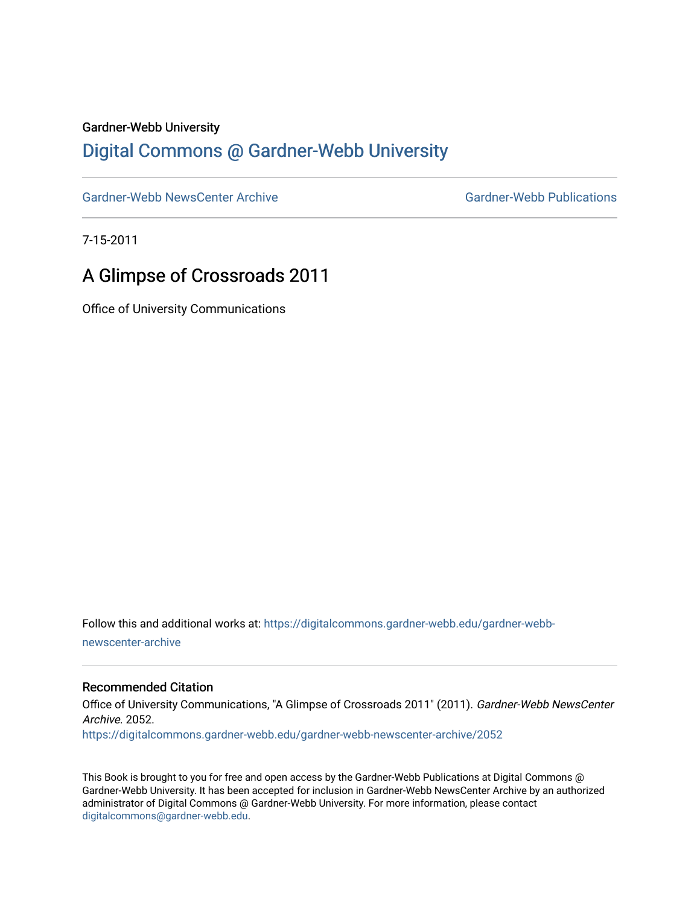#### Gardner-Webb University

### [Digital Commons @ Gardner-Webb University](https://digitalcommons.gardner-webb.edu/)

[Gardner-Webb NewsCenter Archive](https://digitalcommons.gardner-webb.edu/gardner-webb-newscenter-archive) Gardner-Webb Publications

7-15-2011

## A Glimpse of Crossroads 2011

Office of University Communications

Follow this and additional works at: [https://digitalcommons.gardner-webb.edu/gardner-webb](https://digitalcommons.gardner-webb.edu/gardner-webb-newscenter-archive?utm_source=digitalcommons.gardner-webb.edu%2Fgardner-webb-newscenter-archive%2F2052&utm_medium=PDF&utm_campaign=PDFCoverPages)[newscenter-archive](https://digitalcommons.gardner-webb.edu/gardner-webb-newscenter-archive?utm_source=digitalcommons.gardner-webb.edu%2Fgardner-webb-newscenter-archive%2F2052&utm_medium=PDF&utm_campaign=PDFCoverPages)

### Recommended Citation

Office of University Communications, "A Glimpse of Crossroads 2011" (2011). Gardner-Webb NewsCenter Archive. 2052. [https://digitalcommons.gardner-webb.edu/gardner-webb-newscenter-archive/2052](https://digitalcommons.gardner-webb.edu/gardner-webb-newscenter-archive/2052?utm_source=digitalcommons.gardner-webb.edu%2Fgardner-webb-newscenter-archive%2F2052&utm_medium=PDF&utm_campaign=PDFCoverPages) 

This Book is brought to you for free and open access by the Gardner-Webb Publications at Digital Commons @ Gardner-Webb University. It has been accepted for inclusion in Gardner-Webb NewsCenter Archive by an authorized administrator of Digital Commons @ Gardner-Webb University. For more information, please contact [digitalcommons@gardner-webb.edu](mailto:digitalcommons@gardner-webb.edu).